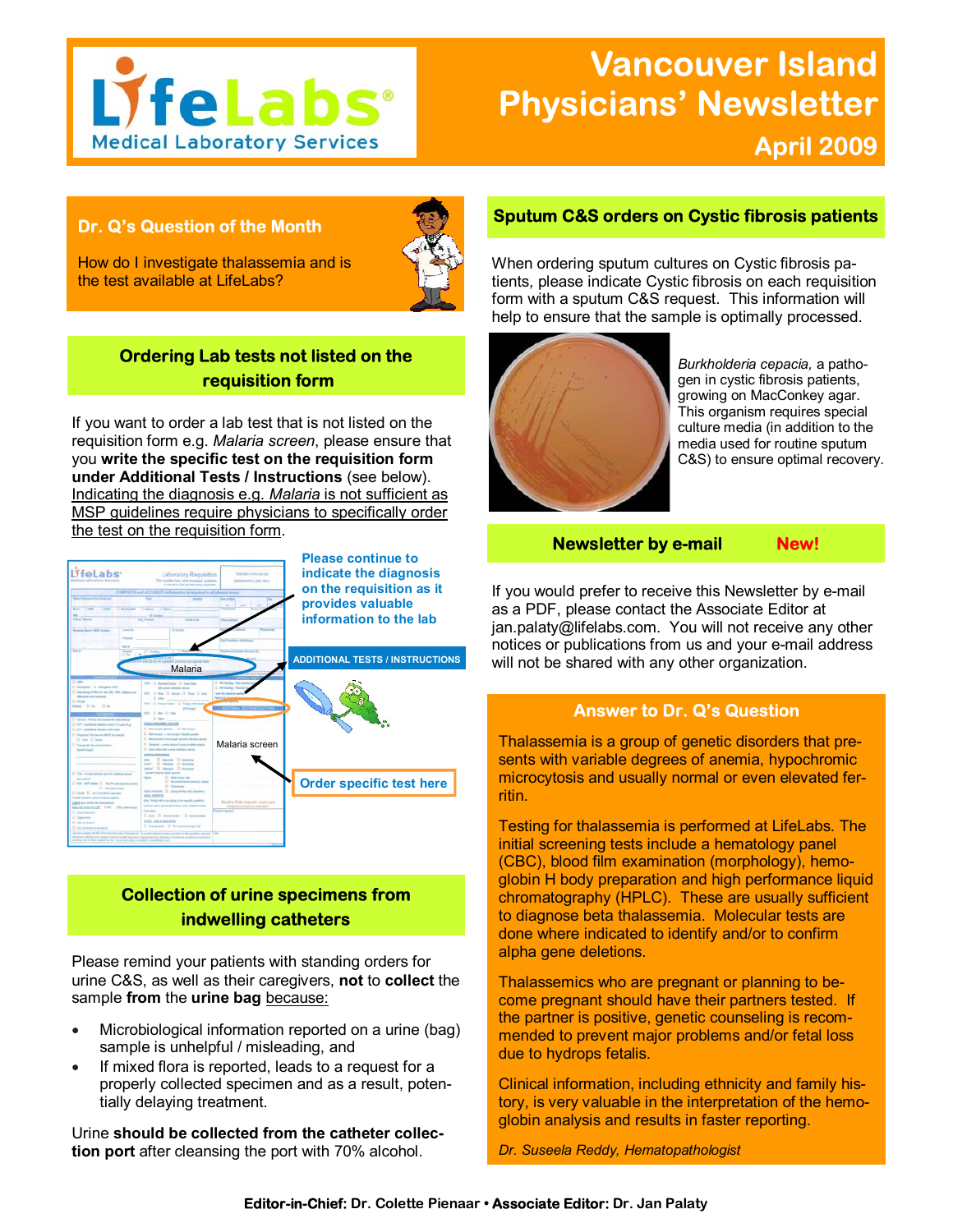

# **Vancouver Island Physicians' Newsletter April 2009**

## **Dr. Q's Question of the Month**



How do I investigate thalassemia and is the test available at LifeLabs?

# **Ordering Lab tests not listed on the requisition form**

If you want to order a lab test that is not listed on the requisition form e.g. *Malaria screen*, please ensure that you **write the specific test on the requisition form under Additional Tests / Instructions** (see below). Indicating the diagnosis e.g. *Malaria* is not sufficient as MSP guidelines require physicians to specifically order the test on the requisition form.



# **Collection of urine specimens from indwelling catheters**

Please remind your patients with standing orders for urine C&S, as well as their caregivers, **not** to **collect** the sample **from** the **urine bag** because:

- Microbiological information reported on a urine (bag) sample is unhelpful / misleading, and
- If mixed flora is reported, leads to a request for a properly collected specimen and as a result, potentially delaying treatment.

Urine **should be collected from the catheter collection port** after cleansing the port with 70% alcohol.

## **Sputum C&S orders on Cystic fibrosis patients**

When ordering sputum cultures on Cystic fibrosis patients, please indicate Cystic fibrosis on each requisition form with a sputum C&S request. This information will help to ensure that the sample is optimally processed.



*Burkholderia cepacia,* a pathogen in cystic fibrosis patients, growing on MacConkey agar. This organism requires special culture media (in addition to the media used for routine sputum C&S) to ensure optimal recovery.

## **Newsletter by e-mail Mew!**

If you would prefer to receive this Newsletter by e-mail as a PDF, please contact the Associate Editor at jan.palaty@lifelabs.com. You will not receive any other notices or publications from us and your e-mail address will not be shared with any other organization.

## **Answer to Dr. Q's Question**

Thalassemia is a group of genetic disorders that presents with variable degrees of anemia, hypochromic microcytosis and usually normal or even elevated ferritin.

Testing for thalassemia is performed at LifeLabs. The initial screening tests include a hematology panel (CBC), blood film examination (morphology), hemoglobin H body preparation and high performance liquid chromatography (HPLC). These are usually sufficient to diagnose beta thalassemia. Molecular tests are done where indicated to identify and/or to confirm alpha gene deletions.

Thalassemics who are pregnant or planning to become pregnant should have their partners tested. If the partner is positive, genetic counseling is recommended to prevent major problems and/or fetal loss due to hydrops fetalis.

Clinical information, including ethnicity and family history, is very valuable in the interpretation of the hemoglobin analysis and results in faster reporting.

*Dr. Suseela Reddy, Hematopathologist*